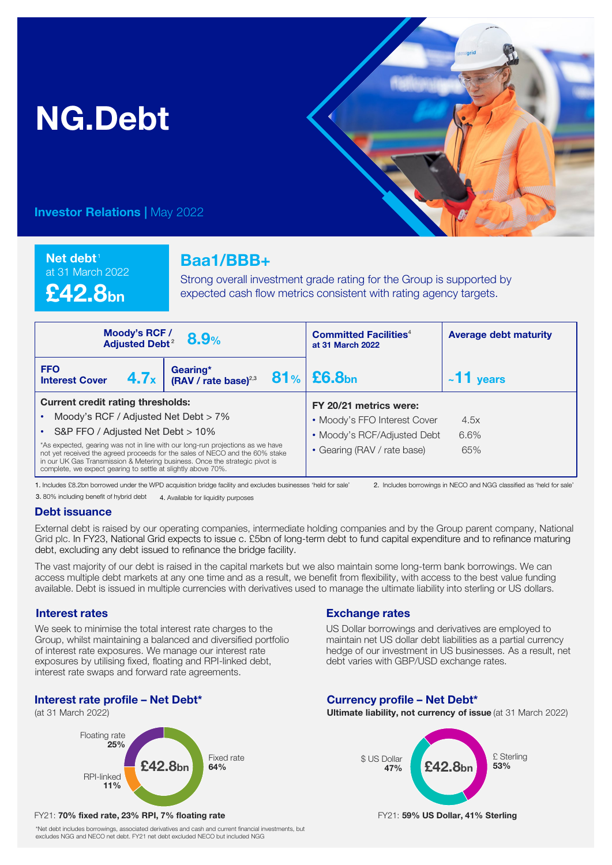# NG.Debt



**Investor Relations | May 2022** 

Net debt<sup>1</sup> at 31 March 2022

£42.8bn

## Baa1/BBB+

Strong overall investment grade rating for the Group is supported by expected cash flow metrics consistent with rating agency targets.

| Moody's RCF/<br>8.9%<br><b>Adjusted Debt<sup>2</sup></b>                                                                                                                                                                                                                                                      |                                              | <b>Committed Facilities</b> <sup>4</sup><br>at 31 March 2022 | <b>Average debt maturity</b> |
|---------------------------------------------------------------------------------------------------------------------------------------------------------------------------------------------------------------------------------------------------------------------------------------------------------------|----------------------------------------------|--------------------------------------------------------------|------------------------------|
| <b>FFO</b><br>4.7x<br><b>Interest Cover</b>                                                                                                                                                                                                                                                                   | Gearing*<br>(RAV / rate base) <sup>2,3</sup> | $81%$ £6.8bn                                                 | $~11$ years                  |
| <b>Current credit rating thresholds:</b>                                                                                                                                                                                                                                                                      |                                              | FY 20/21 metrics were:                                       |                              |
| Moody's RCF / Adjusted Net Debt > 7%                                                                                                                                                                                                                                                                          |                                              | • Moody's FFO Interest Cover                                 | 4.5x                         |
| S&P FFO / Adjusted Net Debt > 10%                                                                                                                                                                                                                                                                             |                                              | • Moody's RCF/Adjusted Debt                                  | 6.6%                         |
| *As expected, gearing was not in line with our long-run projections as we have<br>not yet received the agreed proceeds for the sales of NECO and the 60% stake<br>in our UK Gas Transmission & Metering business. Once the strategic pivot is<br>complete, we expect gearing to settle at slightly above 70%. |                                              | • Gearing (RAV / rate base)                                  | 65%                          |

1. Includes £8.2bn borrowed under the WPD acquisition bridge facility and excludes businesses 'held for sale' 2. Includes borrowings in NECO and NGG classified as 'held for sale'

3. 80% including benefit of hybrid debt 4. Available for liquidity purposes

#### Debt issuance

External debt is raised by our operating companies, intermediate holding companies and by the Group parent company, National Grid plc. In FY23, National Grid expects to issue c. £5bn of long-term debt to fund capital expenditure and to refinance maturing debt, excluding any debt issued to refinance the bridge facility.

The vast majority of our debt is raised in the capital markets but we also maintain some long-term bank borrowings. We can access multiple debt markets at any one time and as a result, we benefit from flexibility, with access to the best value funding available. Debt is issued in multiple currencies with derivatives used to manage the ultimate liability into sterling or US dollars.

#### Interest rates

We seek to minimise the total interest rate charges to the Group, whilst maintaining a balanced and diversified portfolio of interest rate exposures. We manage our interest rate exposures by utilising fixed, floating and RPI-linked debt, interest rate swaps and forward rate agreements.

#### Interest rate profile – Net Debt\*

(at 31 March 2022)



#### FY21: 70% fixed rate, 23% RPI, 7% floating rate FY21: 59% US Dollar, 41% Sterling

\*Net debt includes borrowings, associated derivatives and cash and current financial investments, but excludes NGG and NECO net debt. FY21 net debt excluded NECO but included NGG

### Exchange rates

US Dollar borrowings and derivatives are employed to maintain net US dollar debt liabilities as a partial currency hedge of our investment in US businesses. As a result, net debt varies with GBP/USD exchange rates.

#### Currency profile – Net Debt\*

Ultimate liability, not currency of issue (at 31 March 2022)